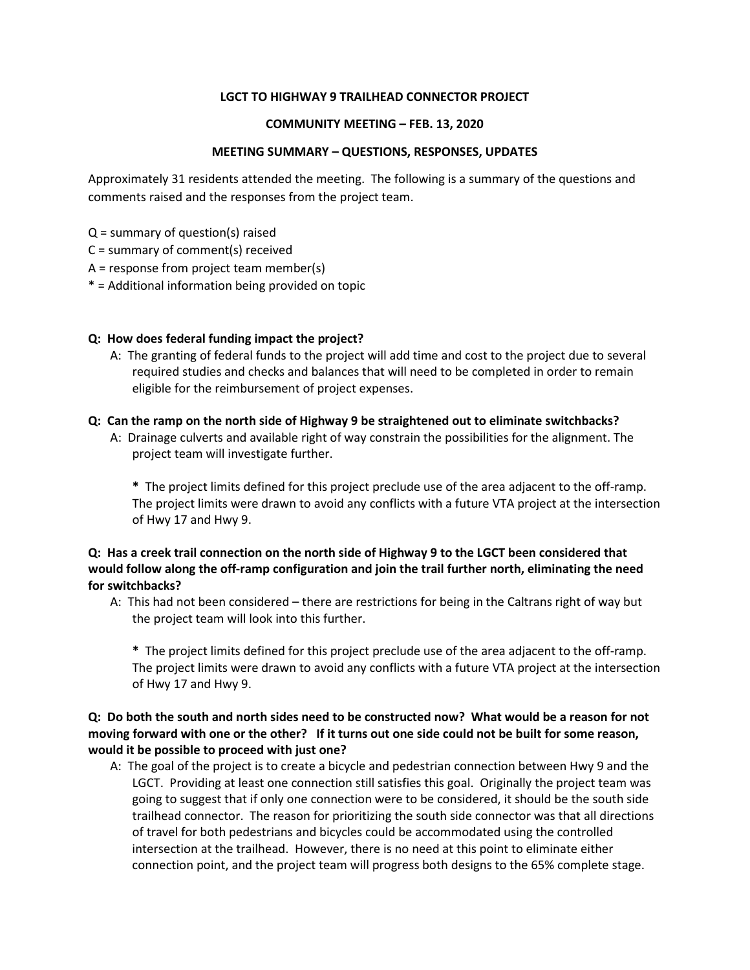#### **LGCT TO HIGHWAY 9 TRAILHEAD CONNECTOR PROJECT**

#### **COMMUNITY MEETING – FEB. 13, 2020**

#### **MEETING SUMMARY – QUESTIONS, RESPONSES, UPDATES**

Approximately 31 residents attended the meeting. The following is a summary of the questions and comments raised and the responses from the project team.

 $Q =$  summary of question(s) raised

C = summary of comment(s) received

A = response from project team member(s)

\* = Additional information being provided on topic

#### **Q: How does federal funding impact the project?**

A: The granting of federal funds to the project will add time and cost to the project due to several required studies and checks and balances that will need to be completed in order to remain eligible for the reimbursement of project expenses.

#### **Q: Can the ramp on the north side of Highway 9 be straightened out to eliminate switchbacks?**

A: Drainage culverts and available right of way constrain the possibilities for the alignment. The project team will investigate further.

**\*** The project limits defined for this project preclude use of the area adjacent to the off-ramp. The project limits were drawn to avoid any conflicts with a future VTA project at the intersection of Hwy 17 and Hwy 9.

## **Q: Has a creek trail connection on the north side of Highway 9 to the LGCT been considered that would follow along the off-ramp configuration and join the trail further north, eliminating the need for switchbacks?**

A: This had not been considered – there are restrictions for being in the Caltrans right of way but the project team will look into this further.

**\*** The project limits defined for this project preclude use of the area adjacent to the off-ramp. The project limits were drawn to avoid any conflicts with a future VTA project at the intersection of Hwy 17 and Hwy 9.

# **Q: Do both the south and north sides need to be constructed now? What would be a reason for not moving forward with one or the other? If it turns out one side could not be built for some reason, would it be possible to proceed with just one?**

A: The goal of the project is to create a bicycle and pedestrian connection between Hwy 9 and the LGCT. Providing at least one connection still satisfies this goal. Originally the project team was going to suggest that if only one connection were to be considered, it should be the south side trailhead connector. The reason for prioritizing the south side connector was that all directions of travel for both pedestrians and bicycles could be accommodated using the controlled intersection at the trailhead. However, there is no need at this point to eliminate either connection point, and the project team will progress both designs to the 65% complete stage.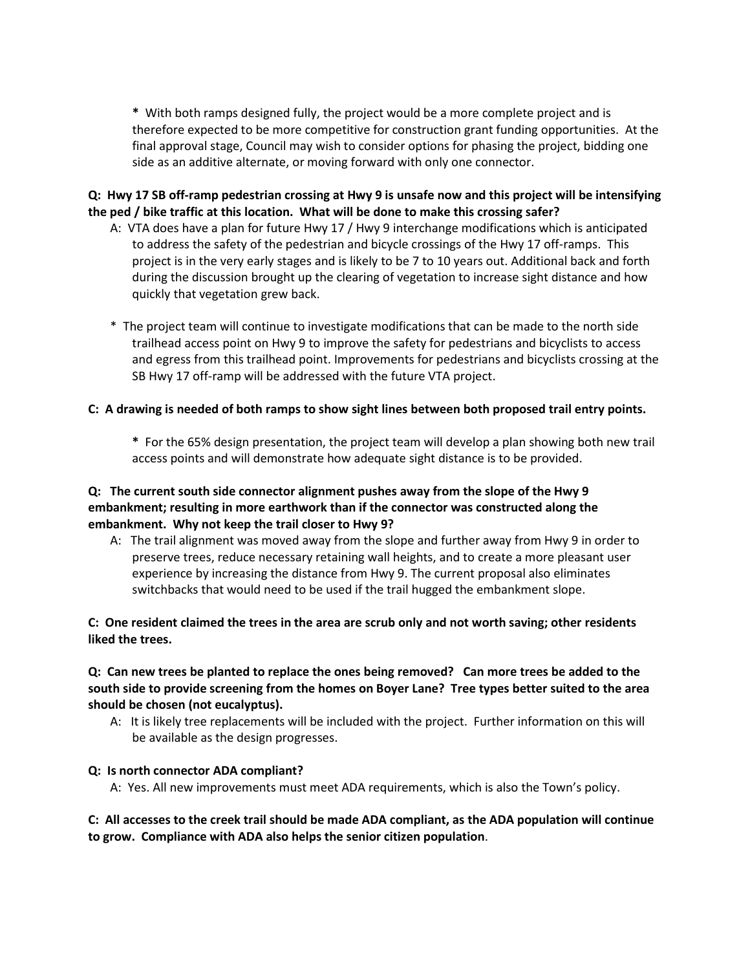**\*** With both ramps designed fully, the project would be a more complete project and is therefore expected to be more competitive for construction grant funding opportunities. At the final approval stage, Council may wish to consider options for phasing the project, bidding one side as an additive alternate, or moving forward with only one connector.

# **Q: Hwy 17 SB off-ramp pedestrian crossing at Hwy 9 is unsafe now and this project will be intensifying the ped / bike traffic at this location. What will be done to make this crossing safer?**

- A: VTA does have a plan for future Hwy 17 / Hwy 9 interchange modifications which is anticipated to address the safety of the pedestrian and bicycle crossings of the Hwy 17 off-ramps. This project is in the very early stages and is likely to be 7 to 10 years out. Additional back and forth during the discussion brought up the clearing of vegetation to increase sight distance and how quickly that vegetation grew back.
- \* The project team will continue to investigate modifications that can be made to the north side trailhead access point on Hwy 9 to improve the safety for pedestrians and bicyclists to access and egress from this trailhead point. Improvements for pedestrians and bicyclists crossing at the SB Hwy 17 off-ramp will be addressed with the future VTA project.

#### **C: A drawing is needed of both ramps to show sight lines between both proposed trail entry points.**

**\*** For the 65% design presentation, the project team will develop a plan showing both new trail access points and will demonstrate how adequate sight distance is to be provided.

# **Q: The current south side connector alignment pushes away from the slope of the Hwy 9 embankment; resulting in more earthwork than if the connector was constructed along the embankment. Why not keep the trail closer to Hwy 9?**

A: The trail alignment was moved away from the slope and further away from Hwy 9 in order to preserve trees, reduce necessary retaining wall heights, and to create a more pleasant user experience by increasing the distance from Hwy 9. The current proposal also eliminates switchbacks that would need to be used if the trail hugged the embankment slope.

## **C: One resident claimed the trees in the area are scrub only and not worth saving; other residents liked the trees.**

# **Q: Can new trees be planted to replace the ones being removed? Can more trees be added to the south side to provide screening from the homes on Boyer Lane? Tree types better suited to the area should be chosen (not eucalyptus).**

A: It is likely tree replacements will be included with the project. Further information on this will be available as the design progresses.

#### **Q: Is north connector ADA compliant?**

A: Yes. All new improvements must meet ADA requirements, which is also the Town's policy.

# **C: All accesses to the creek trail should be made ADA compliant, as the ADA population will continue to grow. Compliance with ADA also helps the senior citizen population**.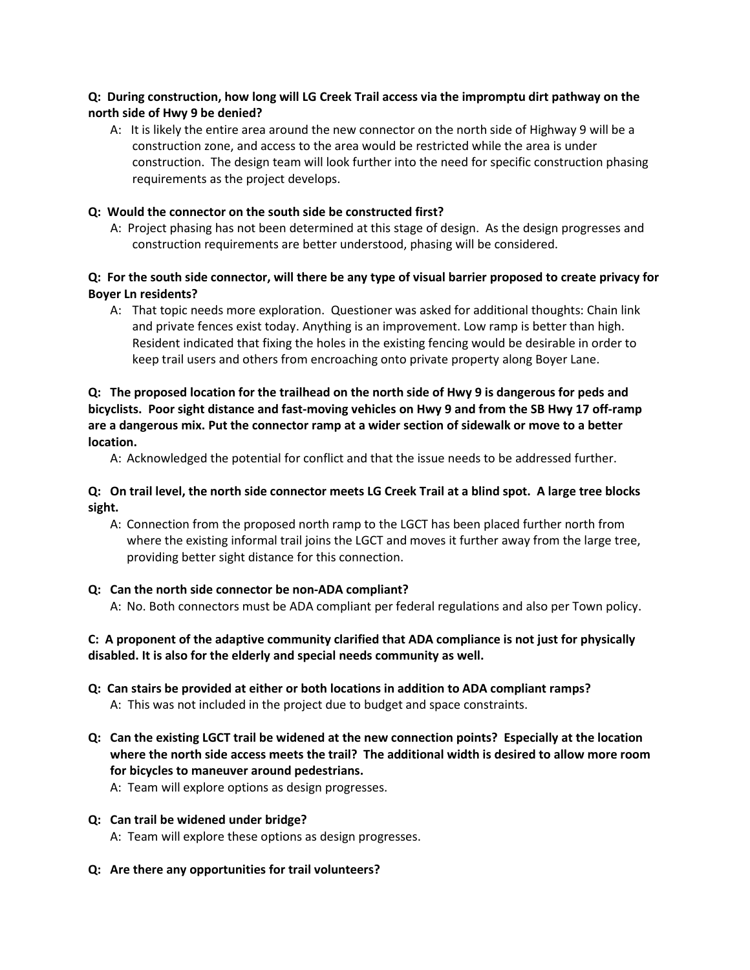# **Q: During construction, how long will LG Creek Trail access via the impromptu dirt pathway on the north side of Hwy 9 be denied?**

A: It is likely the entire area around the new connector on the north side of Highway 9 will be a construction zone, and access to the area would be restricted while the area is under construction. The design team will look further into the need for specific construction phasing requirements as the project develops.

## **Q: Would the connector on the south side be constructed first?**

A: Project phasing has not been determined at this stage of design. As the design progresses and construction requirements are better understood, phasing will be considered.

# **Q: For the south side connector, will there be any type of visual barrier proposed to create privacy for Boyer Ln residents?**

A: That topic needs more exploration. Questioner was asked for additional thoughts: Chain link and private fences exist today. Anything is an improvement. Low ramp is better than high. Resident indicated that fixing the holes in the existing fencing would be desirable in order to keep trail users and others from encroaching onto private property along Boyer Lane.

# **Q: The proposed location for the trailhead on the north side of Hwy 9 is dangerous for peds and bicyclists. Poor sight distance and fast-moving vehicles on Hwy 9 and from the SB Hwy 17 off-ramp are a dangerous mix. Put the connector ramp at a wider section of sidewalk or move to a better location.**

A: Acknowledged the potential for conflict and that the issue needs to be addressed further.

# **Q: On trail level, the north side connector meets LG Creek Trail at a blind spot. A large tree blocks sight.**

A: Connection from the proposed north ramp to the LGCT has been placed further north from where the existing informal trail joins the LGCT and moves it further away from the large tree, providing better sight distance for this connection.

#### **Q: Can the north side connector be non-ADA compliant?**

A: No. Both connectors must be ADA compliant per federal regulations and also per Town policy.

## **C: A proponent of the adaptive community clarified that ADA compliance is not just for physically disabled. It is also for the elderly and special needs community as well.**

- **Q: Can stairs be provided at either or both locations in addition to ADA compliant ramps?** A: This was not included in the project due to budget and space constraints.
- **Q: Can the existing LGCT trail be widened at the new connection points? Especially at the location where the north side access meets the trail? The additional width is desired to allow more room for bicycles to maneuver around pedestrians.**

A: Team will explore options as design progresses.

# **Q: Can trail be widened under bridge?**

A: Team will explore these options as design progresses.

**Q: Are there any opportunities for trail volunteers?**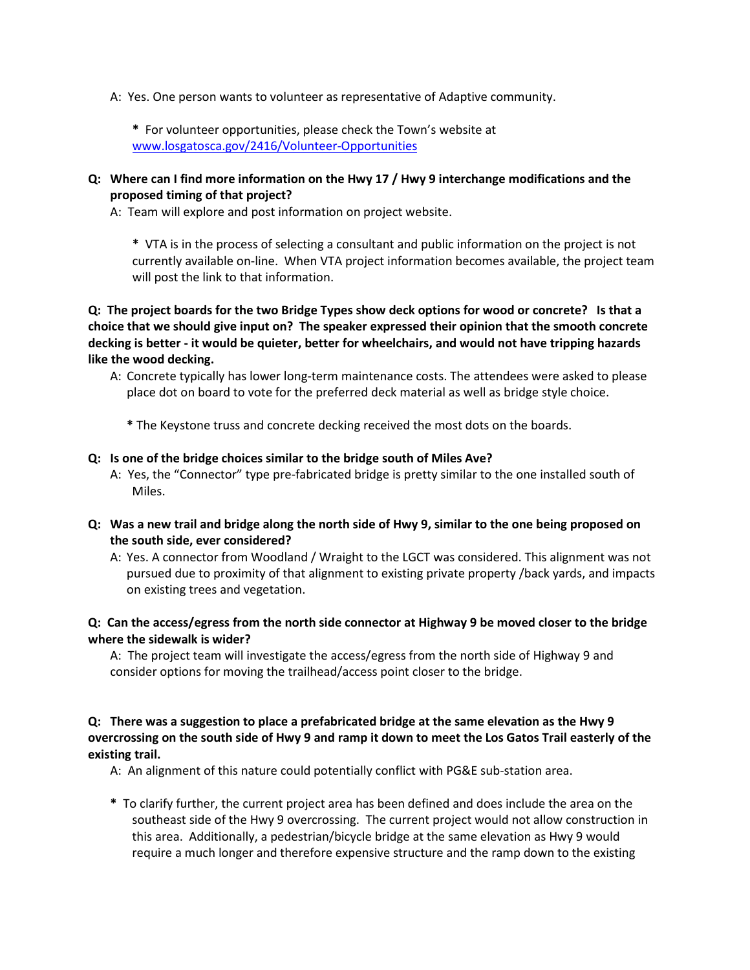A: Yes. One person wants to volunteer as representative of Adaptive community.

**\*** For volunteer opportunities, please check the Town's website at [www.losgatosca.gov/2416/Volunteer-Opportunities](http://www.losgatosca.gov/2416)

**Q: Where can I find more information on the Hwy 17 / Hwy 9 interchange modifications and the proposed timing of that project?**

A: Team will explore and post information on project website.

**\*** VTA is in the process of selecting a consultant and public information on the project is not currently available on-line. When VTA project information becomes available, the project team will post the link to that information.

**Q: The project boards for the two Bridge Types show deck options for wood or concrete? Is that a choice that we should give input on? The speaker expressed their opinion that the smooth concrete decking is better - it would be quieter, better for wheelchairs, and would not have tripping hazards like the wood decking.** 

A: Concrete typically has lower long-term maintenance costs. The attendees were asked to please place dot on board to vote for the preferred deck material as well as bridge style choice.

**\*** The Keystone truss and concrete decking received the most dots on the boards.

#### **Q: Is one of the bridge choices similar to the bridge south of Miles Ave?**

- A: Yes, the "Connector" type pre-fabricated bridge is pretty similar to the one installed south of Miles.
- **Q: Was a new trail and bridge along the north side of Hwy 9, similar to the one being proposed on the south side, ever considered?**

A: Yes. A connector from Woodland / Wraight to the LGCT was considered. This alignment was not pursued due to proximity of that alignment to existing private property /back yards, and impacts on existing trees and vegetation.

#### **Q: Can the access/egress from the north side connector at Highway 9 be moved closer to the bridge where the sidewalk is wider?**

A: The project team will investigate the access/egress from the north side of Highway 9 and consider options for moving the trailhead/access point closer to the bridge.

# **Q: There was a suggestion to place a prefabricated bridge at the same elevation as the Hwy 9 overcrossing on the south side of Hwy 9 and ramp it down to meet the Los Gatos Trail easterly of the existing trail.**

A: An alignment of this nature could potentially conflict with PG&E sub-station area.

**\*** To clarify further, the current project area has been defined and does include the area on the southeast side of the Hwy 9 overcrossing. The current project would not allow construction in this area. Additionally, a pedestrian/bicycle bridge at the same elevation as Hwy 9 would require a much longer and therefore expensive structure and the ramp down to the existing